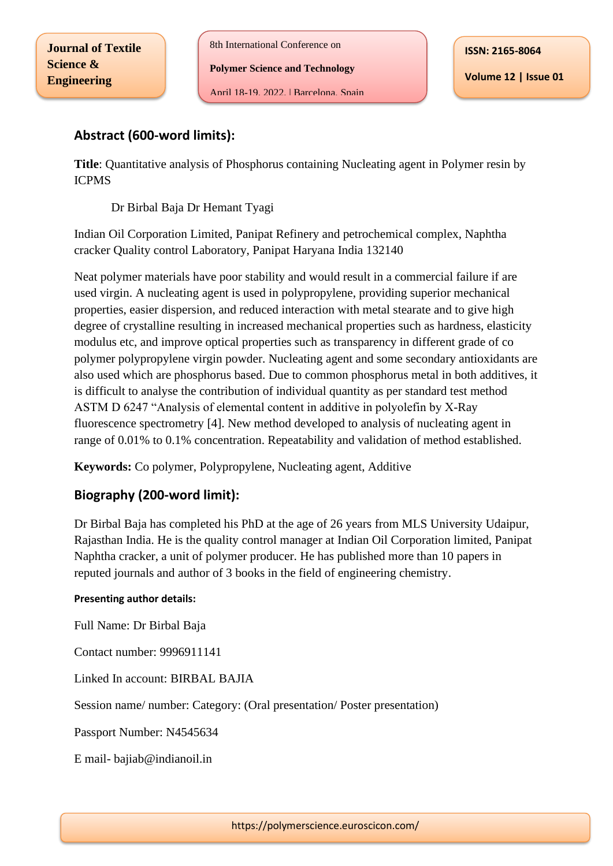8th International Conference on

**Polymer Science and Technology**

April 18-19, 2022, | Barcelona, Spain

**Volume 12 | Issue 01**

## **Abstract (600-word limits):**

**Title**: Quantitative analysis of Phosphorus containing Nucleating agent in Polymer resin by ICPMS

Dr Birbal Baja Dr Hemant Tyagi

Indian Oil Corporation Limited, Panipat Refinery and petrochemical complex, Naphtha cracker Quality control Laboratory, Panipat Haryana India 132140

Neat polymer materials have poor stability and would result in a commercial failure if are used virgin. A nucleating agent is used in polypropylene, providing superior mechanical properties, easier dispersion, and reduced interaction with metal stearate and to give high degree of crystalline resulting in increased mechanical properties such as hardness, elasticity modulus etc, and improve optical properties such as transparency in different grade of co polymer polypropylene virgin powder. Nucleating agent and some secondary antioxidants are also used which are phosphorus based. Due to common phosphorus metal in both additives, it is difficult to analyse the contribution of individual quantity as per standard test method ASTM D 6247 "Analysis of elemental content in additive in polyolefin by X-Ray fluorescence spectrometry [4]. New method developed to analysis of nucleating agent in range of 0.01% to 0.1% concentration. Repeatability and validation of method established.

**Keywords:** Co polymer, Polypropylene, Nucleating agent, Additive

## **Biography (200-word limit):**

Dr Birbal Baja has completed his PhD at the age of 26 years from MLS University Udaipur, Rajasthan India. He is the quality control manager at Indian Oil Corporation limited, Panipat Naphtha cracker, a unit of polymer producer. He has published more than 10 papers in reputed journals and author of 3 books in the field of engineering chemistry.

## **Presenting author details:**

Full Name: Dr Birbal Baja

Contact number: 9996911141

Linked In account: BIRBAL BAJIA

Session name/ number: Category: (Oral presentation/ Poster presentation)

Passport Number: N4545634

E mail- bajiab@indianoil.in